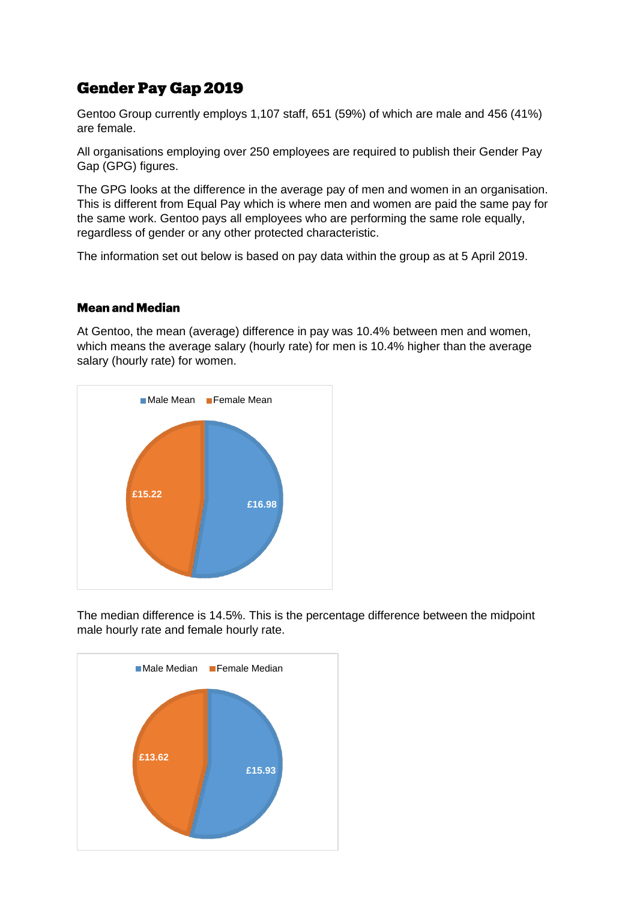# **Gender Pay Gap 2019**

Gentoo Group currently employs 1,107 staff, 651 (59%) of which are male and 456 (41%) are female.

All organisations employing over 250 employees are required to publish their Gender Pay Gap (GPG) figures.

The GPG looks at the difference in the average pay of men and women in an organisation. This is different from Equal Pay which is where men and women are paid the same pay for the same work. Gentoo pays all employees who are performing the same role equally, regardless of gender or any other protected characteristic.

The information set out below is based on pay data within the group as at 5 April 2019.

#### **Mean and Median**

At Gentoo, the mean (average) difference in pay was 10.4% between men and women, which means the average salary (hourly rate) for men is 10.4% higher than the average salary (hourly rate) for women.



The median difference is 14.5%. This is the percentage difference between the midpoint male hourly rate and female hourly rate.

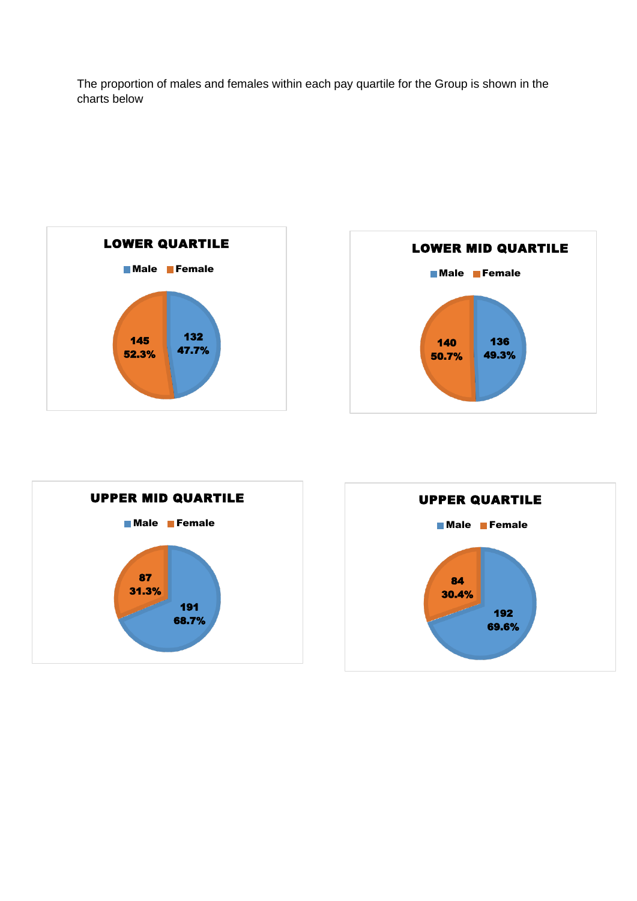The proportion of males and females within each pay quartile for the Group is shown in the charts below







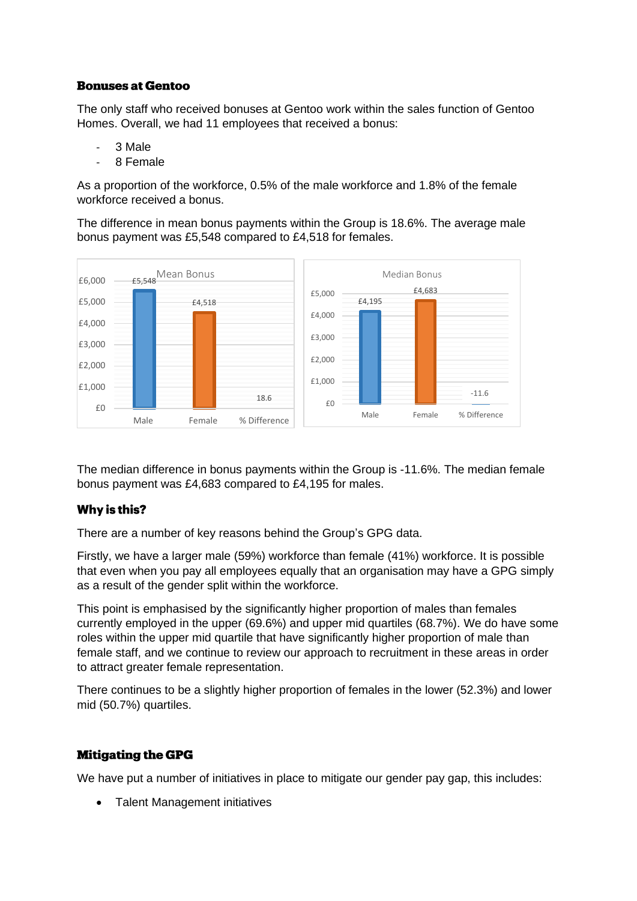# **Bonuses at Gentoo**

The only staff who received bonuses at Gentoo work within the sales function of Gentoo Homes. Overall, we had 11 employees that received a bonus:

- 3 Male
- 8 Female

As a proportion of the workforce, 0.5% of the male workforce and 1.8% of the female workforce received a bonus.

The difference in mean bonus payments within the Group is 18.6%. The average male bonus payment was £5,548 compared to £4,518 for females.



The median difference in bonus payments within the Group is -11.6%. The median female bonus payment was £4,683 compared to £4,195 for males.

# Why is this?

There are a number of key reasons behind the Group's GPG data.

Firstly, we have a larger male (59%) workforce than female (41%) workforce. It is possible that even when you pay all employees equally that an organisation may have a GPG simply as a result of the gender split within the workforce.

This point is emphasised by the significantly higher proportion of males than females currently employed in the upper (69.6%) and upper mid quartiles (68.7%). We do have some roles within the upper mid quartile that have significantly higher proportion of male than female staff, and we continue to review our approach to recruitment in these areas in order to attract greater female representation.

There continues to be a slightly higher proportion of females in the lower (52.3%) and lower mid (50.7%) quartiles.

# **Mitigating the GPG**

We have put a number of initiatives in place to mitigate our gender pay gap, this includes:

• Talent Management initiatives